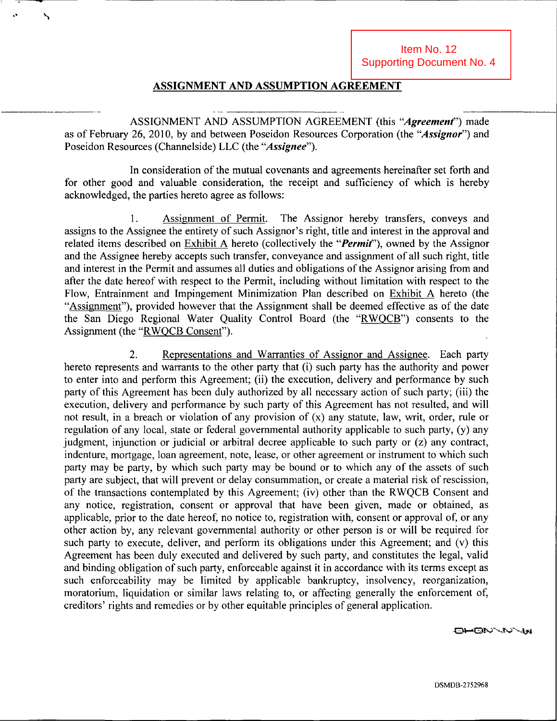### ASSIGNMENT AND ASSUMPTION AGREEMENT

۱,

ASSIGNMENT AND ASSUMPTION AGREEMENT (this "Agreement") made as of February 26, 2010, by and between Poseidon Resources Corporation (the "Assignor") and Poseidon Resources (Channelside) LLC (the "Assignee").

In consideration of the mutual covenants and agreements hereinafter set forth and for other good and valuable consideration, the receipt and sufficiency of which is hereby acknowledged, the parties hereto agree as follows:

1. Assignment of Permit. The Assignor hereby transfers, conveys and assigns to the Assignee the entirety of such Assignor's right, title and interest in the approval and related items described on Exhibit A hereto (collectively the "*Permit*"), owned by the Assignor and the Assignee hereby accepts such transfer, conveyance and assignment of all such right, title and interest in the Permit and assumes all duties and obligations of the Assignor arising from and after the date hereof with respect to the Permit, including without limitation with respect to the Flow, Entrainment and Impingement Minimization Plan described on Exhibit A hereto (the "Assignment"), provided however that the Assignment shall be deemed effective as of the date the San Diego Regional Water Quality Control Board (the "RWQCB") consents to the Assignment (the "RWQCB Consent").

2. Representations and Warranties of Assignor and Assignee. Each party hereto represents and warrants to the other party that (i) such party has the authority and power to enter into and perform this Agreement; (ii) the execution, delivery and performance by such party of this Agreement has been duly authorized by all necessary action of such party; (iii) the execution, delivery and performance by such party of this Agreement has not resulted, and will not result, in a breach or violation of any provision of (x) any statute, law, writ, order, mle or regulation of any local, state or federal governmental authority applicable to such party, (y) any judgment, injunction or judicial or arbitral decree applicable to such party or (z) any contract, indenture, mortgage, loan agreement, note, lease, or other agreement or instrument to which such party may be party, by which such party may be bound or to which any of the assets of such party are subject, that will prevent or delay consummation, or create a material risk of rescission, of the transactions contemplated by this Agreement; (iv) other than the RWQCB Consent and any notice, registration, consent or approval that have been given, made or obtained, as applicable, prior to the date hereof, no notice to, registration with, consent or approval of, or any other action by, any relevant governmental authority or other person is or will be required for such party to execute, deliver, and perform its obligations under this Agreement; and (v) this Agreement has been duly executed and delivered by such party, and constitutes the legal, valid and binding obligation of such party, enforceable against it in accordance with its terms except as such enforceability may be limited by applicable bankruptcy, insolvency, reorganization, moratorium, liquidation or similar laws relating to, or affecting generally the enforcement of, creditors' rights and remedies or by other equitable principles of general application.

O<del>I-</del>ON-N-'AR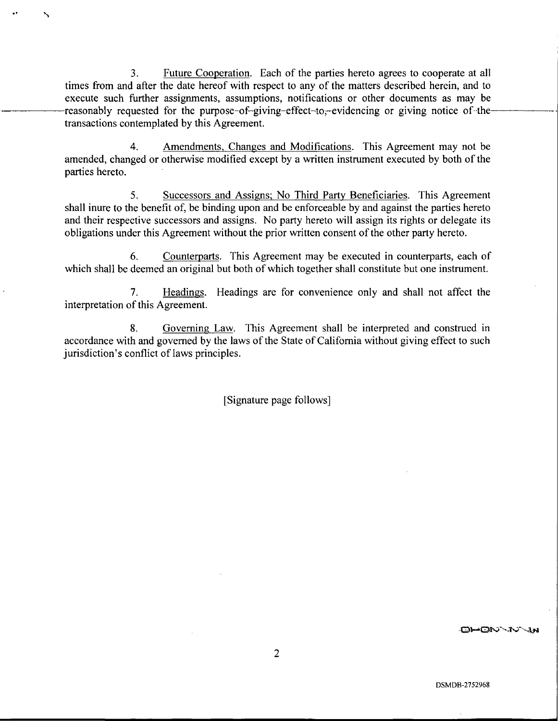3. Future Cooperation. Each of the parties hereto agrees to cooperate at all times from and after the date hereof with respect to any of the matters described herein, and to execute such further assignments, assumptions, notifications or other documents as may be reasonably requested for the purpose-of-giving-effect-to,-evidencing or giving notice of thetransactions contemplated by this Agreement.

s

4. Amendments. Changes and Modifications. This Agreement may not be amended, changed or otherwise modified except by a written instrument executed by both of the parties hereto.

5. Successors and Assigns; No Third Party Beneficiaries. This Agreement shall inure to the benefit of, be binding upon and be enforceable by and against the parties hereto and their respective successors and assigns. No party hereto will assign its rights or delegate its obligations under this Agreement without the prior written consent of the other party hereto.

6. Counterparts. This Agreement may be executed in counterparts, each of which shall be deemed an original but both of which together shall constitute but one instrument.

7. Headings. Headings are for convenience only and shall not affect the interpretation of this Agreement.

8. Governing Law. This Agreement shall be interpreted and construed in accordance with and governed by the laws of the State of Califomia without giving effect to such jurisdiction's conflict of laws principles.

[Signature page follows]

OHON-JV-Js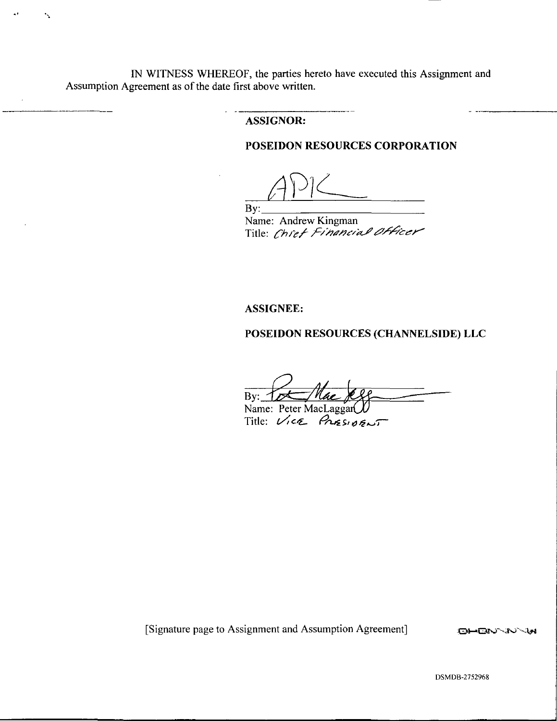IN WITNESS WHEREOF, the parties hereto have executed this Assignment and Assumption Agreement as of the date first above written.

۰.

#### ASSIGNOR:

## POSEIDON RESOURCES CORPORATION

 $\overline{\phantom{a}}$ By:

Name: Andrew Kingman Title: *Chref Financial Officer* 

#### ASSIGNEE:

# POSEIDON RESOURCES (CHANNELSIDE) LLC

By:  $\mathcal{I}$ Name: Peter MacLaggan

 $Title: Vice$  PRESIDENT

[Signature page to Assignment and Assumption Agreement] :Oi-iOl\*J'V30^l#4

DSMDB-2752968